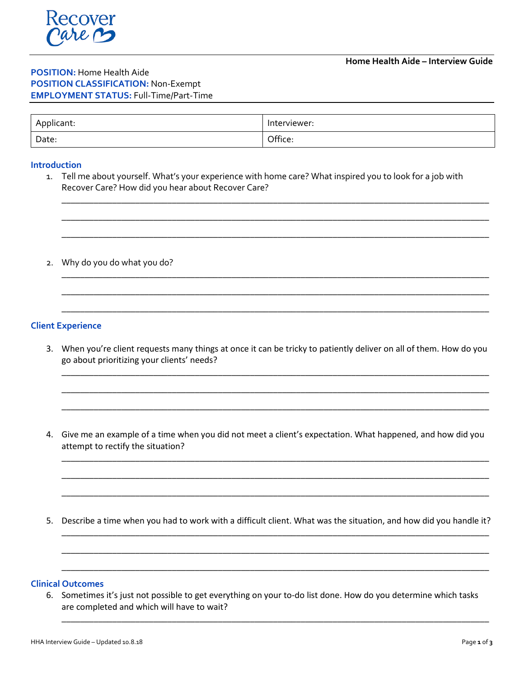# **POSITION:** Home Health Aide **POSITION CLASSIFICATION:** Non-Exempt **EMPLOYMENT STATUS:** Full-Time/Part-Time

| Applicant: | Interviewer: |
|------------|--------------|
| Date:      | Office:      |

## **Introduction**

1. Tell me about yourself. What's your experience with home care? What inspired you to look for a job with Recover Care? How did you hear about Recover Care?

\_\_\_\_\_\_\_\_\_\_\_\_\_\_\_\_\_\_\_\_\_\_\_\_\_\_\_\_\_\_\_\_\_\_\_\_\_\_\_\_\_\_\_\_\_\_\_\_\_\_\_\_\_\_\_\_\_\_\_\_\_\_\_\_\_\_\_\_\_\_\_\_\_\_\_\_\_\_\_\_\_\_\_\_\_\_\_\_\_\_\_\_\_

\_\_\_\_\_\_\_\_\_\_\_\_\_\_\_\_\_\_\_\_\_\_\_\_\_\_\_\_\_\_\_\_\_\_\_\_\_\_\_\_\_\_\_\_\_\_\_\_\_\_\_\_\_\_\_\_\_\_\_\_\_\_\_\_\_\_\_\_\_\_\_\_\_\_\_\_\_\_\_\_\_\_\_\_\_\_\_\_\_\_\_\_\_

\_\_\_\_\_\_\_\_\_\_\_\_\_\_\_\_\_\_\_\_\_\_\_\_\_\_\_\_\_\_\_\_\_\_\_\_\_\_\_\_\_\_\_\_\_\_\_\_\_\_\_\_\_\_\_\_\_\_\_\_\_\_\_\_\_\_\_\_\_\_\_\_\_\_\_\_\_\_\_\_\_\_\_\_\_\_\_\_\_\_\_\_\_

\_\_\_\_\_\_\_\_\_\_\_\_\_\_\_\_\_\_\_\_\_\_\_\_\_\_\_\_\_\_\_\_\_\_\_\_\_\_\_\_\_\_\_\_\_\_\_\_\_\_\_\_\_\_\_\_\_\_\_\_\_\_\_\_\_\_\_\_\_\_\_\_\_\_\_\_\_\_\_\_\_\_\_\_\_\_\_\_\_\_\_\_\_

\_\_\_\_\_\_\_\_\_\_\_\_\_\_\_\_\_\_\_\_\_\_\_\_\_\_\_\_\_\_\_\_\_\_\_\_\_\_\_\_\_\_\_\_\_\_\_\_\_\_\_\_\_\_\_\_\_\_\_\_\_\_\_\_\_\_\_\_\_\_\_\_\_\_\_\_\_\_\_\_\_\_\_\_\_\_\_\_\_\_\_\_\_

\_\_\_\_\_\_\_\_\_\_\_\_\_\_\_\_\_\_\_\_\_\_\_\_\_\_\_\_\_\_\_\_\_\_\_\_\_\_\_\_\_\_\_\_\_\_\_\_\_\_\_\_\_\_\_\_\_\_\_\_\_\_\_\_\_\_\_\_\_\_\_\_\_\_\_\_\_\_\_\_\_\_\_\_\_\_\_\_\_\_\_\_\_

2. Why do you do what you do?

## **Client Experience**

3. When you're client requests many things at once it can be tricky to patiently deliver on all of them. How do you go about prioritizing your clients' needs?

\_\_\_\_\_\_\_\_\_\_\_\_\_\_\_\_\_\_\_\_\_\_\_\_\_\_\_\_\_\_\_\_\_\_\_\_\_\_\_\_\_\_\_\_\_\_\_\_\_\_\_\_\_\_\_\_\_\_\_\_\_\_\_\_\_\_\_\_\_\_\_\_\_\_\_\_\_\_\_\_\_\_\_\_\_\_\_\_\_\_\_\_\_

\_\_\_\_\_\_\_\_\_\_\_\_\_\_\_\_\_\_\_\_\_\_\_\_\_\_\_\_\_\_\_\_\_\_\_\_\_\_\_\_\_\_\_\_\_\_\_\_\_\_\_\_\_\_\_\_\_\_\_\_\_\_\_\_\_\_\_\_\_\_\_\_\_\_\_\_\_\_\_\_\_\_\_\_\_\_\_\_\_\_\_\_\_

\_\_\_\_\_\_\_\_\_\_\_\_\_\_\_\_\_\_\_\_\_\_\_\_\_\_\_\_\_\_\_\_\_\_\_\_\_\_\_\_\_\_\_\_\_\_\_\_\_\_\_\_\_\_\_\_\_\_\_\_\_\_\_\_\_\_\_\_\_\_\_\_\_\_\_\_\_\_\_\_\_\_\_\_\_\_\_\_\_\_\_\_\_

\_\_\_\_\_\_\_\_\_\_\_\_\_\_\_\_\_\_\_\_\_\_\_\_\_\_\_\_\_\_\_\_\_\_\_\_\_\_\_\_\_\_\_\_\_\_\_\_\_\_\_\_\_\_\_\_\_\_\_\_\_\_\_\_\_\_\_\_\_\_\_\_\_\_\_\_\_\_\_\_\_\_\_\_\_\_\_\_\_\_\_\_\_

\_\_\_\_\_\_\_\_\_\_\_\_\_\_\_\_\_\_\_\_\_\_\_\_\_\_\_\_\_\_\_\_\_\_\_\_\_\_\_\_\_\_\_\_\_\_\_\_\_\_\_\_\_\_\_\_\_\_\_\_\_\_\_\_\_\_\_\_\_\_\_\_\_\_\_\_\_\_\_\_\_\_\_\_\_\_\_\_\_\_\_\_\_

\_\_\_\_\_\_\_\_\_\_\_\_\_\_\_\_\_\_\_\_\_\_\_\_\_\_\_\_\_\_\_\_\_\_\_\_\_\_\_\_\_\_\_\_\_\_\_\_\_\_\_\_\_\_\_\_\_\_\_\_\_\_\_\_\_\_\_\_\_\_\_\_\_\_\_\_\_\_\_\_\_\_\_\_\_\_\_\_\_\_\_\_\_

\_\_\_\_\_\_\_\_\_\_\_\_\_\_\_\_\_\_\_\_\_\_\_\_\_\_\_\_\_\_\_\_\_\_\_\_\_\_\_\_\_\_\_\_\_\_\_\_\_\_\_\_\_\_\_\_\_\_\_\_\_\_\_\_\_\_\_\_\_\_\_\_\_\_\_\_\_\_\_\_\_\_\_\_\_\_\_\_\_\_\_\_\_

\_\_\_\_\_\_\_\_\_\_\_\_\_\_\_\_\_\_\_\_\_\_\_\_\_\_\_\_\_\_\_\_\_\_\_\_\_\_\_\_\_\_\_\_\_\_\_\_\_\_\_\_\_\_\_\_\_\_\_\_\_\_\_\_\_\_\_\_\_\_\_\_\_\_\_\_\_\_\_\_\_\_\_\_\_\_\_\_\_\_\_\_\_

\_\_\_\_\_\_\_\_\_\_\_\_\_\_\_\_\_\_\_\_\_\_\_\_\_\_\_\_\_\_\_\_\_\_\_\_\_\_\_\_\_\_\_\_\_\_\_\_\_\_\_\_\_\_\_\_\_\_\_\_\_\_\_\_\_\_\_\_\_\_\_\_\_\_\_\_\_\_\_\_\_\_\_\_\_\_\_\_\_\_\_\_\_

\_\_\_\_\_\_\_\_\_\_\_\_\_\_\_\_\_\_\_\_\_\_\_\_\_\_\_\_\_\_\_\_\_\_\_\_\_\_\_\_\_\_\_\_\_\_\_\_\_\_\_\_\_\_\_\_\_\_\_\_\_\_\_\_\_\_\_\_\_\_\_\_\_\_\_\_\_\_\_\_\_\_\_\_\_\_\_\_\_\_\_\_\_

- 4. Give me an example of a time when you did not meet a client's expectation. What happened, and how did you attempt to rectify the situation?
- 5. Describe a time when you had to work with a difficult client. What was the situation, and how did you handle it?

### **Clinical Outcomes**

6. Sometimes it's just not possible to get everything on your to-do list done. How do you determine which tasks are completed and which will have to wait?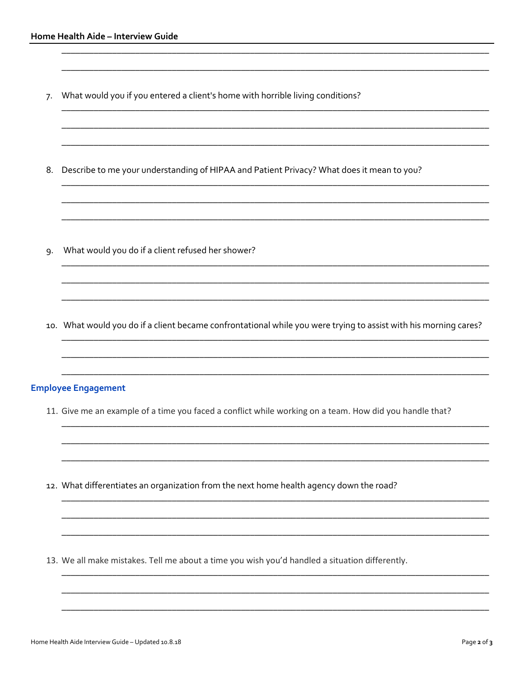- What would you if you entered a client's home with horrible living conditions?  $7.$
- 8. Describe to me your understanding of HIPAA and Patient Privacy? What does it mean to you?

- What would you do if a client refused her shower? 9.
- 10. What would you do if a client became confrontational while you were trying to assist with his morning cares?

# **Employee Engagement**

- 11. Give me an example of a time you faced a conflict while working on a team. How did you handle that?
- 12. What differentiates an organization from the next home health agency down the road?

13. We all make mistakes. Tell me about a time you wish you'd handled a situation differently.